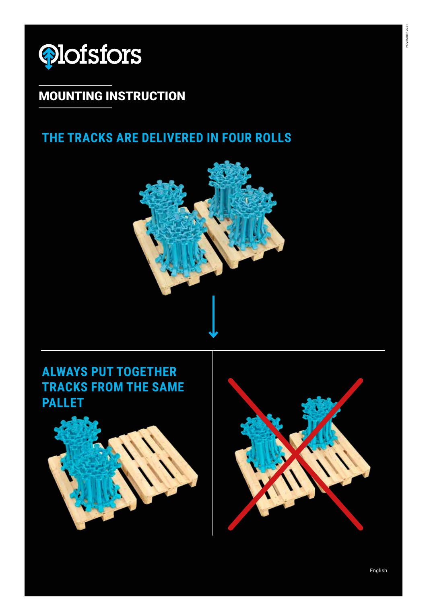

## MOUNTING INSTRUCTION

### **THE TRACKS ARE DELIVERED IN FOUR ROLLS**



## **ALWAYS PUT TOGETHER TRACKS FROM THE SAME PALLET**



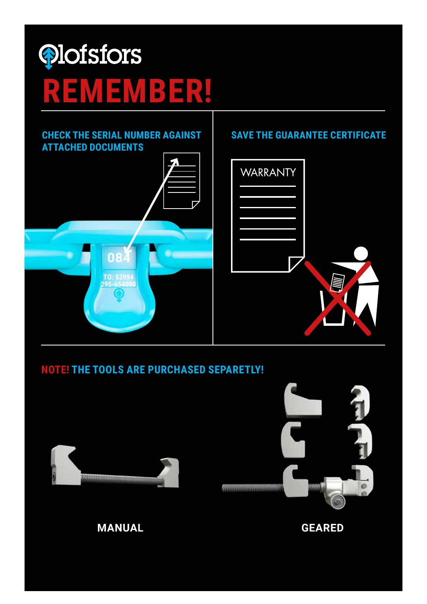

#### **NOTE! THE TOOLS ARE PURCHASED SEPARETLY!**



**084**

**TO: 52994 295-654000**



#### **MANUAL GEARED**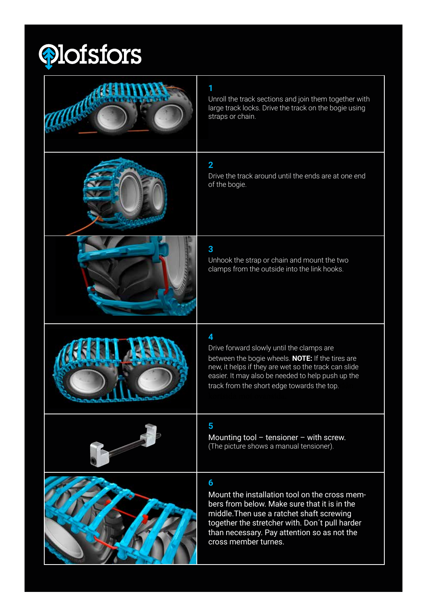

| Unroll the track sections and join them together with<br>large track locks. Drive the track on the bogie using<br>straps or chain.                                                                                                                                       |
|--------------------------------------------------------------------------------------------------------------------------------------------------------------------------------------------------------------------------------------------------------------------------|
| $\overline{2}$<br>Drive the track around until the ends are at one end<br>of the bogie.                                                                                                                                                                                  |
| 3<br>Unhook the strap or chain and mount the two<br>clamps from the outside into the link hooks.                                                                                                                                                                         |
| 4<br>Drive forward slowly until the clamps are<br>between the bogie wheels. NOTE: If the tires are<br>new, it helps if they are wet so the track can slide<br>easier. It may also be needed to help push up the<br>track from the short edge towards the top.            |
| 5<br>Mounting tool $-$ tensioner $-$ with screw.<br>(The picture shows a manual tensioner).                                                                                                                                                                              |
| 6<br>Mount the installation tool on the cross mem-<br>bers from below. Make sure that it is in the<br>middle. Then use a ratchet shaft screwing<br>together the stretcher with. Don't pull harder<br>than necessary. Pay attention so as not the<br>cross member turnes. |